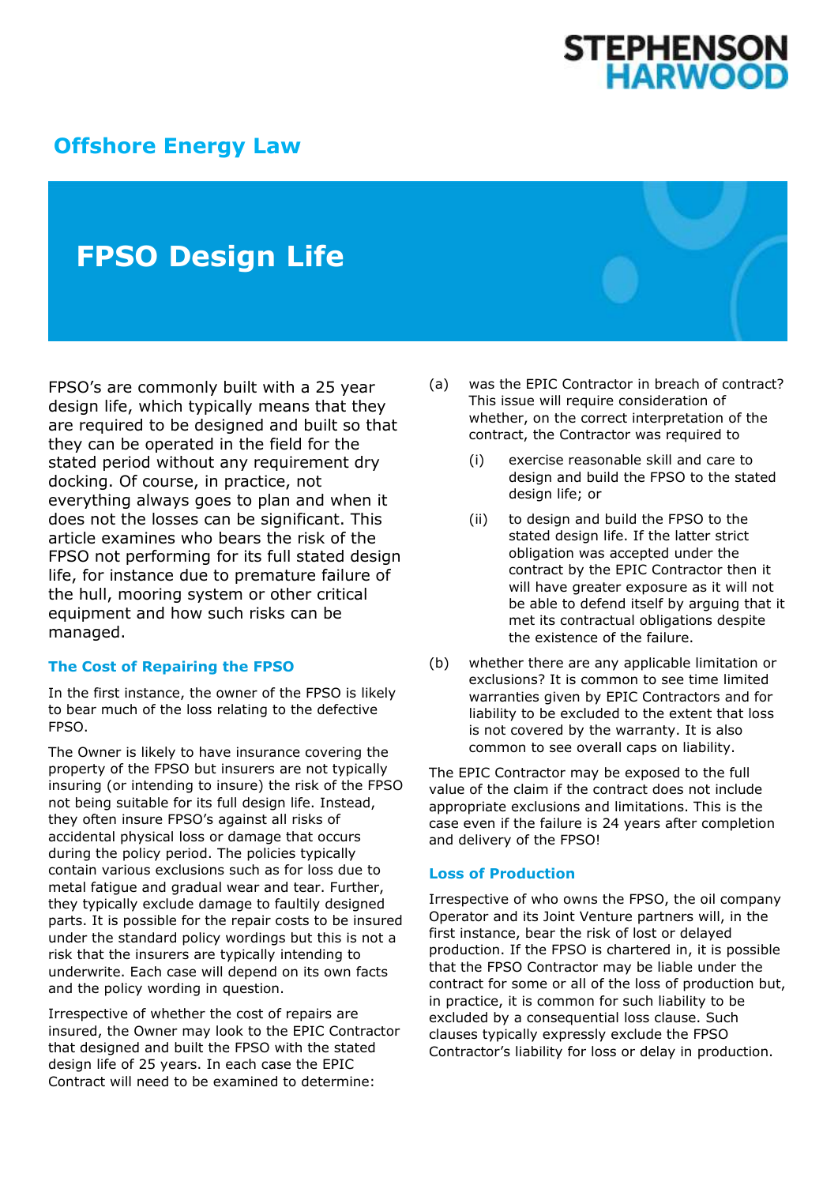# **STEPHENSON<br>HARWOOD**

## **[Offshore Energy Law](http://www.offshoreenergylaw.com/)**

# **FPSO Design Life**

FPSO's are commonly built with a 25 year design life, which typically means that they are required to be designed and built so that they can be operated in the field for the stated period without any requirement dry docking. Of course, in practice, not everything always goes to plan and when it does not the losses can be significant. This article examines who bears the risk of the FPSO not performing for its full stated design life, for instance due to premature failure of the hull, mooring system or other critical equipment and how such risks can be managed.

#### **The Cost of Repairing the FPSO**

In the first instance, the owner of the FPSO is likely to bear much of the loss relating to the defective FPSO.

The Owner is likely to have insurance covering the property of the FPSO but insurers are not typically insuring (or intending to insure) the risk of the FPSO not being suitable for its full design life. Instead, they often insure FPSO's against all risks of accidental physical loss or damage that occurs during the policy period. The policies typically contain various exclusions such as for loss due to metal fatigue and gradual wear and tear. Further, they typically exclude damage to faultily designed parts. It is possible for the repair costs to be insured under the standard policy wordings but this is not a risk that the insurers are typically intending to underwrite. Each case will depend on its own facts and the policy wording in question.

Irrespective of whether the cost of repairs are insured, the Owner may look to the EPIC Contractor that designed and built the FPSO with the stated design life of 25 years. In each case the EPIC Contract will need to be examined to determine:

- (a) was the EPIC Contractor in breach of contract? This issue will require consideration of whether, on the correct interpretation of the contract, the Contractor was required to
	- (i) exercise reasonable skill and care to design and build the FPSO to the stated design life; or
	- (ii) to design and build the FPSO to the stated design life. If the latter strict obligation was accepted under the contract by the EPIC Contractor then it will have greater exposure as it will not be able to defend itself by arguing that it met its contractual obligations despite the existence of the failure.
- (b) whether there are any applicable limitation or exclusions? It is common to see time limited warranties given by EPIC Contractors and for liability to be excluded to the extent that loss is not covered by the warranty. It is also common to see overall caps on liability.

The EPIC Contractor may be exposed to the full value of the claim if the contract does not include appropriate exclusions and limitations. This is the case even if the failure is 24 years after completion and delivery of the FPSO!

#### **Loss of Production**

Irrespective of who owns the FPSO, the oil company Operator and its Joint Venture partners will, in the first instance, bear the risk of lost or delayed production. If the FPSO is chartered in, it is possible that the FPSO Contractor may be liable under the contract for some or all of the loss of production but, in practice, it is common for such liability to be excluded by a consequential loss clause. Such clauses typically expressly exclude the FPSO Contractor's liability for loss or delay in production.